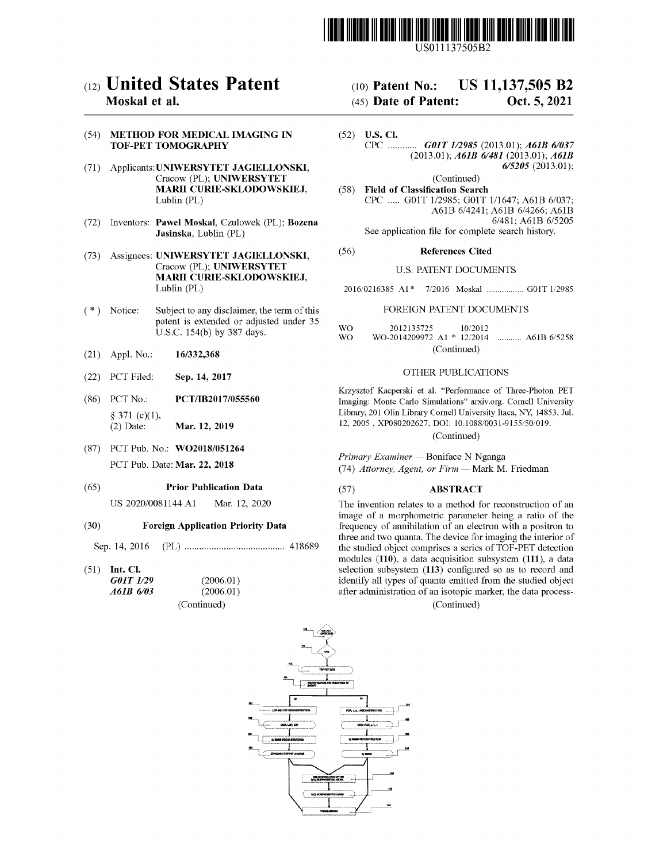

US011137505B2

# (54) METHOD FOR MEDICAL IMAGING IN TOF-PET TOMOGRAPHY

- (71) Applicants: UNIWERSYTET JAGIELLONSKI, Cracow (PL); UNIWERSYTET **MARII CURIE-SKLODOWSKIEJ,**<br>Lublin (PL)
- See application file for complete search history.<br>See application file for complete search history.<br>See application file for complete search history. Jasinska, Lublin (PL)
- (73) Assignees: UNIWERSYTET JAGIELLONSKI, (56) References Cited Cracow (PL); UNIWERSYTET (56) References Cited MARII CURIE-SKLODOWSKIEJ,<br>Lublin (PL)
- (\*) Notice: Subject to any disclaimer, the term of this FOREIGN PATENT DOCUMENTS patent is extended or adjusted under 35  $U.S.C. 154(b)$  by 387 days. WO
- (21) Appl. No.: 16/332,368
- (22) PCT Filed: Sep. 14, 2017 CTHER PUBLICATIONS
- (86) PCT No.: PCT/IB2017/055560  $§ 371 (c)(1),$ <br>(2) Date: Mar. 12, 2019
- (87) PCT Pub. No.: WO2018/051264

# (65) Prior Publication Data

US 2020/0081144 A1 Mar. 12, 2020

# ( 30 ) Foreign Application Priority Data

Sep. 14 , 2016 ( PL ) 418689

 $(51)$  Int. Cl.

| G01T 1/29 | (2006.01)   |  |
|-----------|-------------|--|
| A61B 6/03 | (2006.01)   |  |
|           | (Continued) |  |

# (12) United States Patent (10) Patent No.: US 11,137,505 B2<br>Moskal et al. (45) Date of Patent: Oct. 5, 2021

# $(45)$  Date of Patent:

- (52) U.S. Cl.<br>CPC .............. **GOIT 1/2985** (2013.01); **A61B 6/037** (2013.01); **A61B 6/481** (2013.01); **A61B**  $6/5205$  (2013.01);
- (Continued) (58) Field of Classification Search CPC ..... G01T 1/2985; G01T 1/1647; A61B 6/037; A61B 6/4241; A61B 6/4266; A61B 6/481; A61B 6/5205

### U.S. PATENT DOCUMENTS

2016/0216385 A1\* 7/2016 Moskal ................. G01T 1/2985

WO 2012135725 10/2012 WO-2014209972 A1 \* 12/2014 ........... A61B 6/5258 (Continued)

Krzysztof Kacperski et al. "Performance of Three-Photon PET<br>Imaging: Monte Carlo Simulations" arxiv.org. Cornell University Imaging : Monte Carlo Simulations ( Cornell University Itaca, NY, 14853, Jul . 12, 2005 , XP080202627, DOI: 10.1088/0031-9155/50/019 . ( Continued )

Primary Examiner — Boniface N Nganga<br>
PCT Pub. Date: **Mar. 22, 2018** (74) Attorney, Agent, or Firm — Mark M. Friedman

# ( 57 ) ABSTRACT

The invention relates to a method for reconstruction of an image of a morphometric parameter being a ratio of the frequency of annihilation of an electron with a positron to three and two quanta. The device for imaging the interior of the studied object comprises a series of TOF-PET detection<br>modules (110), a data acquisition subsystem (111), a data selection subsystem (113) configured so as to record and identify all types of quanta emitted from the studied object after administration of an isotopic marker, the data process-

(Continued)

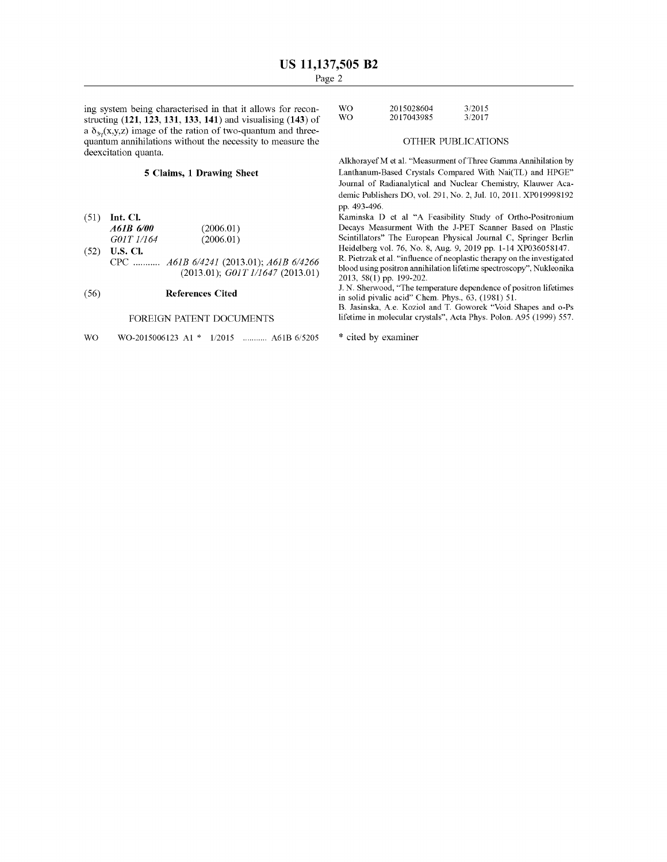$\frac{3}{2015028004}$  system being characterised in that it allows for recon-<br>structing (121, 123, 131, 133, 141) and visualising (143) of WO 2017043985 3/2017 a  $\delta_{3v}(x,y,z)$  image of the ration of two-quantum and threequantum annihilations without the necessity to measure the **OTHER PUBLICATIONS**<br>deexcitation quanta.

# 5 Claims, 1 Drawing Sheet

- (51) Int. Cl.<br>  $A6IB 6/00$   $(2006.01)$   $(2006.01)$  Decays Meas GOIT 1/164<br>(52) U.S. Cl.  $(2006.01)$  $(2006.01)$
- (52) U.S. CI.<br>CPC ...........  $A61B\ 6/4241\ (2013.01)$ ;  $A61B\ 6/4266$  $(2013.01);$   $G01T1/1647$   $(2013.01)$

# ( 56 ) References Cited

### FOREIGN PATENT DOCUMENTS

WO WO-2015006123 A1 \* 1/2015 ........... A61B 6/5205 \* cited by examiner

| WO. | 2015028604 | 3/2015 |
|-----|------------|--------|
| WO. | 2017043985 | 3/2017 |

Alkhorayef M et al . " Measurment of Three Gamma Annihilation by Lanthanum-Based Crystals Compared With Nai(TL) and HPGE" Journal of Radianalytical and Nuclear Chemistry, Klauwer Academic Publishers DO, vol. 291, No. 2, Jul. 10, 2011. XP019998192<br>pp. 493-496.

Kaminska D et al "A Feasibility Study of Ortho-Positronium Decays Measurment With the J-PET Scanner Based on Plastic Scintillators" The European Physical Journal C, Springer Berlin<br>Heidelberg vol. 76, No. 8, Aug. 9, 2019 pp. 1-14 XP036058147.

R. Pietrzak et al. "influence of neoplastic therapy on the investigated blood using positron annihilation lifetime spectroscopy", Nukleonika 2013, 58(1) pp. 199-202.

J. N. Sherwood, "The temperature dependence of positron lifetimes in solid pivalic acid" Chem. Phys., 63, (1981) 51.

B. Jasinska, A.e. Koziol and T. Goworek " Void Shapes and o-Ps lifetime in molecular crystals", Acta Phys. Polon. A95 (1999) 557.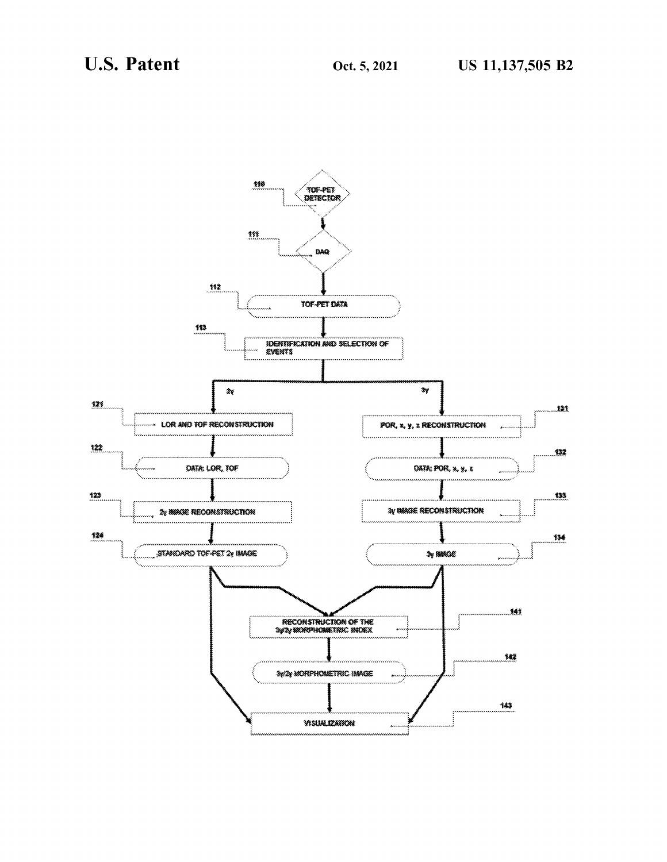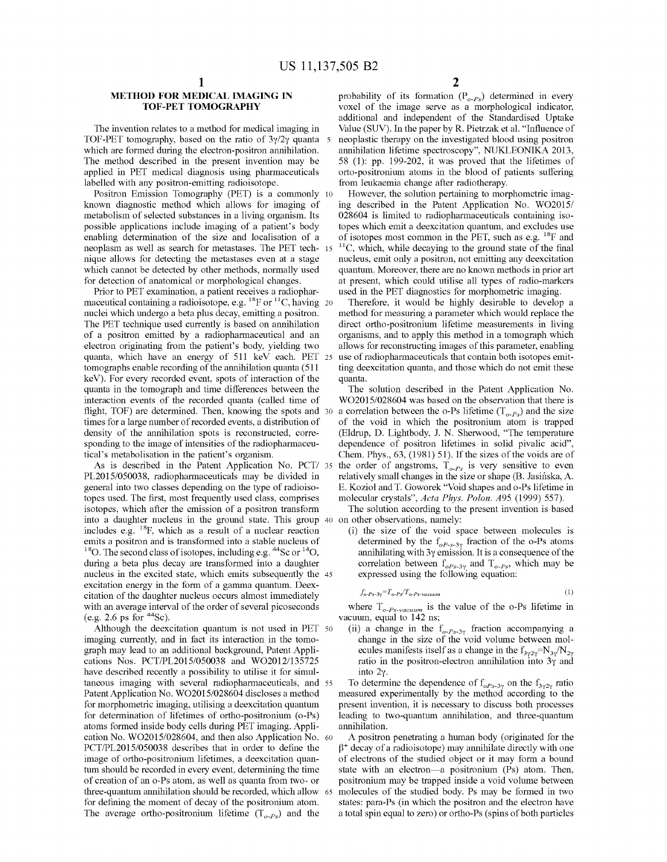TOF-PET tomography, based on the ratio of 3y/2y quanta 5 neoplastic therapy on the investigated blood using positron<br>which are formed during the electron-positron annihilation.<br>The method described in the present invention

enabling determination of the size and localisation of a of isotopes most common in the PET, such as e.g. <sup>18</sup>F and neoplasm as well as search for metastases. The PET tech-15<sup>-11</sup>C, which, while decaying to the ground sta nique allows for detecting the metastases even at a stage mucleus, emit only a positron, not emitting any deexcitation which cannot be detected by other methods, normally used quantum. Moreover, there are no known methods

Prior to PET examination, a patient receives a radiophar-<br>maceutical containing a radioisotope, e.g. <sup>18</sup>F or <sup>11</sup>C, having 20 Therefore, it would be highly desirable to develop a<br>nuclei which undergo a beta plus decay, em The PET technique used currently is based on annihilation direct ortho-positronium lifetime measurements in living<br>of a positron emitted by a radiopharmaceutical and an organisms, and to apply this method in a tomograph wh quanta, which have an energy of 511 keV each. PET 25 use of radiopharmaceuticals that contain both isotopes emit-<br>tomographs enable recording of the annihilation quanta (511 ting deexcitation quanta, and those which do not keV). For every recorded event, spots of interaction of the quanta.<br>quanta in the tomograph and time differences between the The solution described in the Patent Application No.<br>interaction events of the recorded quanta (c interaction events of the recorded quanta (called time of WO2015/028604 was based on the observation that there is flight, TOF) are determined. Then, knowing the spots and 30 a correlation between the o-Ps lifetime ( $T_{o-F$ 

general into two classes depending on the type of radioiso-<br>the E. Kozioł and T. Goworek "Void shapes and o-Ps lifetime in<br>topes used. The first, most frequently used class, comprises molecular crystals", Acta Phys. Polon. isotopes, which after the emission of a positron transform The solution according to the present invention is based into a daughter nucleus in the ground state. This group 40 on other observations, namely:<br>includes e.g.  $18F$ , which as a result of a nuclear reaction (i) the size of the void space between molecules is includes e.g. <sup>18</sup>F, which as a result of a nuclear reaction (i) the size of the void space between molecules is<br>emits a positron and is transformed into a stable nucleus of determined by the  $f<sub>oP-s-3y</sub>$  fraction of t <sup>18</sup>O. The second class of isotopes, including e.g. <sup>44</sup>Sc or <sup>14</sup>O, annihilating with 3y emission. It is a consequence of the during a beta plus decay are transformed into a daughter correlation between  $f_{oPs-3y}$  and  $T$ citation of the daughter nucleus occurs almost immediately with an average interval of the order of several picoseconds with an average interval of the order of several picoseconds where  $T_{o-Ps-vacuum}$  is the value of the o-Ps lifetime in vacuum, equal to 142 ns;<br>Although the deexcitation quantum is not used in PET 50 (ii) a change in the  $f_{$ 

Although the deexcitation quantum is not used in PET 50 (ii) a change in the  $f_{o-P<sub>s-3\gamma</sub>}$  fraction accompanying a imaging currently, and in fact its interaction in the tomo-<br>change in the size of the void volume betwe imaging currently, and in fact its interaction in the tomo-<br>graph may lead to an additional background, Patent Appli-<br>ecules manifests itself as a change in the  $f_{av2y} = N_a/N_{2y}$ graph may lead to an additional background, Patent Appli-<br>cations Nos. PCT/PL2015/050038 and WO2012/135725 ratio in the positron-electron annihilation into 3y and cations Nos. PCT/PL2015/050038 and WO2012/135725 ratio in the positron-electron annihilation into 3y and have described recently a possibility to utilise it for simul-<br>into 2y. taneous imaging with several radiopharmaceuticals, and 55 To determine the dependence of  $f_{\alpha P_{s-3\gamma}}$  on the  $f_{\alpha P_{s-3\gamma}}$  ratio Patent Application No. WO2015/028604 discloses a method measured experimentally by the me Patent Application No. WO2015/028604 discloses a method measured experimentally by the method according to the<br>for morphometric imaging, utilising a deexcitation quantum present invention, it is necessary to discuss both p for determination of lifetimes of ortho-positronium (o-Ps) leading to two-quantum annihilation, and three-quantum atoms formed inside body cells during PET imaging. Appli-<br>cation No. WO2015/028604, and then also Applicati PCT/PL2015/050038 describes that in order to define the  $\beta^+$  decay of a radioisotope) may annihilate directly with one image of ortho-positronium lifetimes, a deexcitation quan-of electrons of the studied object or it m image of ortho-positronium lifetimes, a deexcitation quan-<br>tum should be recorded in every event, determining the time state with an electron—a positronium (Ps) atom. Then, of creation of an o-Ps atom, as well as quanta from two- or positronium may be trapped inside a void volume between<br>three-quantum annihilation should be recorded, which allow 65 molecules of the studied body. Ps may be for three-quantum annihilation should be recorded, which allow 65 molecules of the studied body. Ps may be formed in two<br>for defining the moment of decay of the positronium atom. states: para-Ps (in which the positron and the The average ortho-positronium lifetime  $(T_{o-Ps})$  and the

**METHOD FOR MEDICAL IMAGING IN** probability of its formation  $(P_{o-Ps})$  determined in every<br> **TOF-PET TOMOGRAPHY** voxel of the image serve as a morphological indicator,<br>
The invention relates to a method for medical imaging

which cannot be detected by other methods, normally used quantum. Moreover, there are no known methods in prior art<br>for detection of anatomical or morphological changes. <br>at present, which could utilise all types of radio-

ting deexcitation quanta, and those which do not emit these

times for a large number of recorded events, a distribution of of the void in which the positronium atom is trapped<br>density of the annihilation spots is reconstructed, corre-<br>sponding to the image of intensities of the ra As is described in the Patent Application No. PCT/ 35 the order of angstroms,  $T_{o-Ps}$  is very sensitive to even PL2015/050038, radiopharmaceuticals may be divided in relatively small changes in the size or shape (B. Jasi

$$
f_{o-Ps-3\gamma} = T_{o-Ps} / T_{o-Ps-vacuum} \tag{1}
$$

states: para-Ps (in which the positron and the electron have a total spin equal to zero) or ortho-Ps (spins of both particles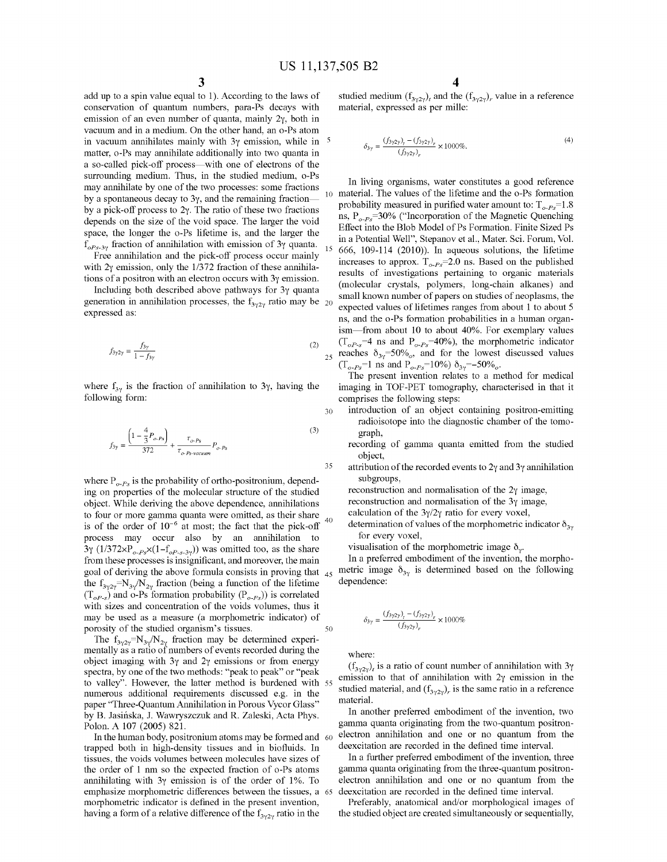30

35

40

add up to a spin value equal to 1). According to the laws of studied medium  $(f_{3\gamma2\gamma})$ , and the  $(f_{3\gamma2\gamma})$ , value in a reference conservation of quantum numbers, para-Ps decays with material, expressed as per mille: emission of an even number of quanta, mainly  $2\gamma$ , both in vacuum and in a medium. On the other hand, an o-Ps atom in vacuum annihilates mainly with  $3\gamma$  emission, while in matter, o-Ps may annihilate additionally into two quanta in a so-called pick-off process—with one of electrons of the surrounding medium. Thus, in the studied medium, o-Ps may annihilate by one of the two processes: some fractions In living organisms, water constitutes a good reference<br>by a spontaneous decay to  $3\gamma$ , and the remaining fraction—<br> $\frac{1}{10}$  material. The values of the lifeti by a spontaneous decay to  $\sigma_1$ , and the remaining machon-<br>by a pick-off process to  $2\gamma$ . The ratio of these two fractions<br>denotes on the size of the void enough lines who are all the space of the Magnetic Quenching depends on the size of the void space. The larger the void<br>Effect into the Blob Model of Ps Formation. Finite Sized Ps space, the longer the o-Ps lifetime is, and the larger the space is not model of Ps Formation. Finite Sized Ps space  $\frac{1}{2}$  is a Potential Well", Stepanov et al., Mater. Sci. Forum, Vol.

$$
f_{3\gamma 2\gamma} = \frac{f_{3\gamma}}{1 - f_{3\gamma}}
$$
 (2)

$$
f_{3\gamma} = \frac{\left(1 - \frac{4}{3}P_{o\cdot Ps}\right)}{372} + \frac{\tau_{o\cdot Ps}}{\tau_{o\cdot Ps \text{-}vacuum}}P_{o\cdot Ps} \tag{3}
$$

where  $P_{o-Ps}$  is the probability of ortho-positronium, depend-<br>ing on properties of the molecular structure of the studied<br>object. While deriving the above dependence, annihilations<br>to four or more gamma quanta were omit process may occur also by an annihilation to for every voxel,  $\frac{3y}{3y}$  (1/372xP<sub>o-Ps</sub> x(1–f<sub>oP-s-3y</sub>)) was omitted too, as the share visualisation of the morphometric image  $\delta_{y}$ .<br>from these processes is insignificant, and moreover, the main In a preferred embodiment of the inv from these processes is insignificant, and moreover, the main In a preferred embodiment of the invention, the morpho-<br>goal of deriving the above formula consists in proving that  $\Delta s$  metric image  $\delta_{3y}$  is determined b the  $f_{3\gamma 2\gamma} = N_{3\gamma} / N_{2\gamma}$  fraction (being a function of the lifetime dependence:  $(T_{o.P.s})$  and o-Ps formation probability  $(P_{o-Ps})$  is correlated with sizes and concentration of the voids volumes, thus it may be used as a measure (a morphometric indicator) of goal of deriving the above formula consists in proving that 45 50

porosity of the studied organism's tissues.<br>The  $f_{3\gamma 2\gamma} = N_{3\gamma}/N_{2\gamma}$  fraction may be determined experimentally as a ratio of numbers of events recorded during the<br>object imaging with 3y and 2y emissions or from energy<br>spectra, by one of the two methods: "peak to peak" or "peak<br>to year's emission to that of annihilation wi numerous additional requirements discussed e.g. in the studied material paper "Three-Quantum Annihilation in Porous Vycor Glass" material .<br>In another preferred embodiment of the invention, two was not been a referred in P by B. Jasińska, J. Wawryszczuk and R. Zaleski, Acta Phys. Polon. A 107 (2005) 821.

In the human body, positronium atoms may be formed and  $60^\circ$  electron annihilation and one or no quantum from the head in the defined time interval. trapped both in high-density tissues and in biofluids. In deexcitation are recorded in the defined time interval.<br>tissues the voids volumes between molecules have sizes of In a further preferred embodiment of the invention tissues, the voids volumes between molecules have sizes of In a further preferred embodiment of the invention, three<br>the order of 1 nm so the expected fraction of o-Ps atoms gamma quanta originating from the three-quantum annihilating with  $3\gamma$  emission is of the order of 1%. To electron annihilation and one or no quantum from the emphasize morphometric differences between the tissues, a 65 deexcitation are recorded in the defined time in morphometric indicator is defined in the present invention, Preferably, anatomical and/or morphological images of having a form of a relative difference of the  $f_{3/2y}$  ratio in the tudied object are created simultaneous having a form of a relative difference of the  $f_{3\gamma2\gamma}$  ratio in the

$$
\delta_{3\gamma} = \frac{(f_{3\gamma 2\gamma})_r - (f_{3\gamma 2\gamma})_r}{(f_{3\gamma 2\gamma})_r} \times 1000\% .
$$
\n(4)

 $f_{oPs-3\gamma}$  fraction of annihilation with emission of 3y quanta.<br>Free annihilation and the pick-off process occur mainly<br>with 2y omission, only the 1/372 fraction of these annihilations increases to approx.  $T_{o-Ps}$ =2.0 n Free aminibation and the pick-off process occur mainly<br>with 2 $\gamma$  emission, only the 1/372 fraction of these annihila-<br>tions of a positron with an electron occurs with 3 $\gamma$  emission.<br>Including both described above pathwa ns, and the o-Ps formation probabilities in a human organism—from about 10 to about 40%. For exemplary values  $(T_{oP_s} = 4 \text{ ns and P}_{o-P_s} = 40%)$ , the morphometric indicator reaches  $\delta_{3\gamma}$ =50%, and for the lowest discussed values  $(T_{o-Ps}$ =1 ns and  $P_{o-Ps}$ =10%  $\delta_{3\gamma}$ =-50%.

The present invention relates to a method for medical where  $f_{3\gamma}$  is the fraction of annihilation to 3 $\gamma$ , having the imaging in TOF-PET tomography, characterised in that it comprises the following steps:

- introduction of an object containing positron-emitting radioisotope into the diagnostic chamber of the tomo-
- graph,<br>
intervalue recording of gamma quanta emitted from the studied object,
- attribution of the recorded events to  $2\gamma$  and  $3\gamma$  annihilation subgroups.
- 
- 

$$
\delta_{3\gamma} = \frac{(f_{3\gamma 2\gamma})_t - (f_{3\gamma 2\gamma})_r}{(f_{3\gamma 2\gamma})_r} \times 1000\%
$$

gamma quanta originating from the two-quantum positron-<br>electron annihilation and one or no quantum from the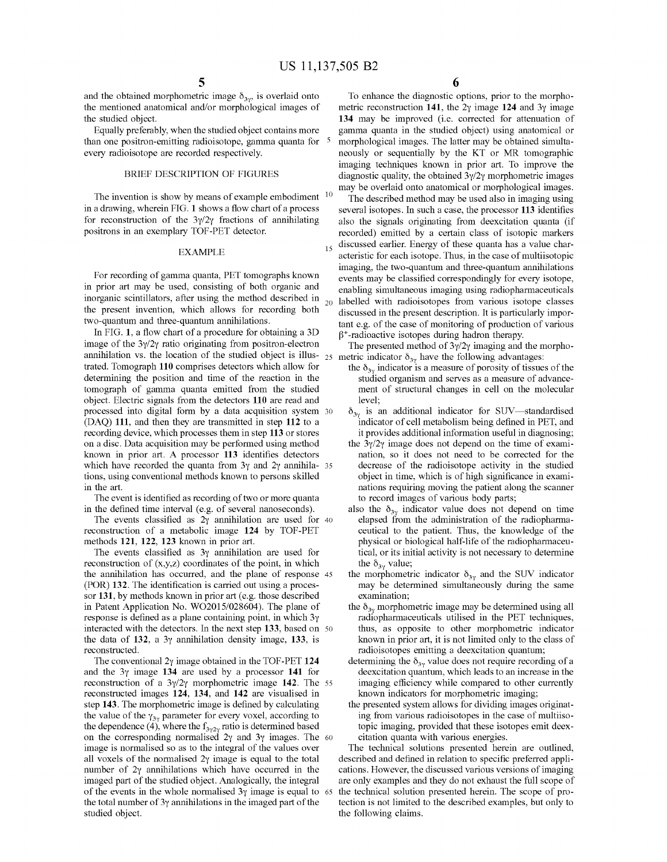15

The invention is show by means of example embodiment <sup>10</sup> may be overlaid onto anatomical or morphological images.<br>
in a drawing, wherein FIG. 1 shows a flow chart of a process<br>
for reconstruction of the  $3\gamma/2\gamma$  fractio

determining the position and time of the reaction in the studied organism and serves as a measure of advance-<br>tomograph of gamma quanta emitted from the studied ment of structural changes in cell on the molecular object. Electric signals from the detectors 110 are read and processed into digital form by a data acquisition system 30 (DAQ) 111, and then they are transmitted in step 112 to a indicator of cell metabolism being defined in PET, and recording device, which processes them in step 113 or stores it provides additional information useful in dia recording device, which processes them in step 113 or stores it provides additional information useful in diagnosing;<br>on a disc. Data acquisition may be performed using method the  $3\gamma/2\gamma$  image does not depend on the ti on a disc. Data acquisition may be performed using method the  $3\gamma/2\gamma$  image does not depend on the time of exami-<br>known in prior art. A processor 113 identifies detectors attion, so it does not need to be corrected for known in prior art. A processor 113 identifies detectors nation, so it does not need to be corrected for the which have recorded the quanta from  $3\gamma$  and  $2\gamma$  annihila- 35 decrease of the radioisotope activity in the st which have recorded the quanta from  $3\gamma$  and  $2\gamma$  annihila- 35 tions, using conventional methods known to persons skilled tions, using conventional methods known to persons skilled object in time, which is of high significance in exami-<br>in the art.<br>nations requiring moving the patient along the scanner

The event is identified as recording of two or more quanta in the defined time interval (e.g. of several nanoseconds).

The events construction of a metabolic image 124 by TOF-PET ceutical to the patient. Thus, the knowledge of the methods 121, 122, 123 known in prior art.

The events classified as 3 $\gamma$  annihilation are used for tical, or its initial construction of (x,y,z) coordinates of the point, in which the  $\delta_{3\gamma}$  value; reconstruction of (x,y,z) coordinates of the point, in which the  $\delta_{3\gamma}$  value;<br>the annihilation has occurred, and the plane of response 45 the morphometric indicator  $\delta_{3\gamma}$  and the SUV indicator (POR) 132. The identification is carried out using a proces-<br>sor 131, by methods known in prior art (e.g. those described examination; in Patent Application No. WO2015/028604). The plane of the  $\delta_{3\gamma}$  morphometric image may be determined using all response is defined as a plane containing point, in which  $3\gamma$  radiopharmaceuticals utilised in the PET interacted with the detectors. In the next step 133, based on  $50$  thus, as opposite to other morphometric indicator the data of 132, a  $3\gamma$  annihilation density image, 133, is known in prior art, it is not limited only the data of 132, a  $3\gamma$  annihilation density image, 133, is reconstructed. reconstructed.<br>The conventional 2 $\gamma$  image obtained in the TOF-PET 124 determining the  $\delta_{xy}$  value does not require recordi

The conventional 2y image obtained in the TOF-PET 124 determining the  $\delta_{3\gamma}$  value does not require recording of a and the 3y image 134 are used by a processor 141 for deexcitation quantum, which leads to an increase i reconstruction of a  $3\gamma/2\gamma$  morphometric image 142. The 55 imaging efficiency while compared to other currently<br>reconstructed images 124, 134, and 142 are visualised in the shown indicators for morphometric imaging;<br>ste the value of the  $\gamma_{3\gamma}$  parameter for every voxel, according to larger the statement is the dependence (4), where the  $f_{3\gamma}$  ratio is determined based topic imaging, provided that these isotopes emit deex-<br>on the cor on the corresponding normalised  $2\gamma$  and  $3\gamma$  images. The 60 citation quanta with various energies.<br>
image is normalised so as to the integral of the values over<br>
all voxels of the normalised  $2\gamma$  image is equal to the of the events in the whole normalised  $3\gamma$  image is equal to 65 the technical solution presented herein. The scope of pro-<br>the total number of  $3\gamma$  annihilations in the imaged part of the tection is not limited to the d

 $5 \hspace{2.5cm} 6$ 

and the obtained morphometric image  $\delta_{3\gamma}$ , is overlaid onto To enhance the diagnostic options, prior to the morpho-<br>the mentioned anatomical and/or morphological images of metric reconstruction 141, the 2 $\gamma$  image 12 than one positron-emitting radioisotope, gamma quanta for <sup>5</sup> morphological images. The latter may be obtained simulta-<br>every radioisotope are recorded respectively. ioisotope are recorded respectively. he is neously or sequentially by the KT or MR tomographic imaging techniques known in prior art. To improve the diagnostic quality, the obtained  $3v/2v$  morphometric images diagnostic quality, the obtained  $3\gamma/2\gamma$  morphometric images

for reconstruction of the  $3\frac{y}{2\gamma}$  fractions of annihilating also the signals originating from deexcitation quanta (if positrons in an exemplary TOF-PET detector. EXAMPLE<br>
For recording of gamma quanta, PET tomographs known<br>
in aging, the two-quantum and three-quantum annihilations<br>
in prior art may be used, consisting of both organic and<br>
in prior art may be used, consisting of bo

- ment of structural changes in cell on the molecular level:
- $\delta_{3\gamma}$  is an additional indicator for SUV—standardised indicator of cell metabolism being defined in PET, and
- nations requiring moving the patient along the scanner<br>to record images of various body parts;
- the defined time interval (e.g. of several nanoseconds). also the  $\delta_{3\gamma}$  indicator value does not depend on time<br>The events classified as  $2\gamma$  annihilation are used for 40 elapsed from the administration of the radiop methods 121, 122, 123 known in prior art. physical or biological half-life of the radiopharmaceu-<br>The events classified as  $3\gamma$  annihilation are used for tical, or its initial activity is not necessary to determine
	-
	-
	-
	-